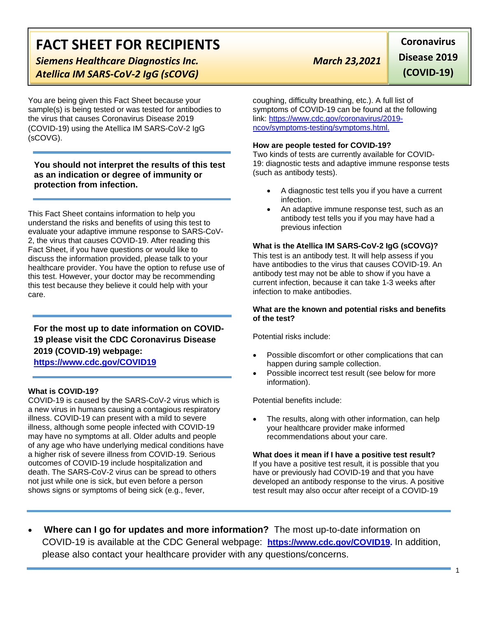# **FACT SHEET FOR RECIPIENTS**

**Siemens Healthcare Diagnostics Inc.** March 23,2021 *Atellica IM SARS-CoV-2 IgG (sCOVG)*

You are being given this Fact Sheet because your sample(s) is being tested or was tested for antibodies to the virus that causes Coronavirus Disease 2019 (COVID-19) using the Atellica IM SARS-CoV-2 IgG (sCOVG).

**You should not interpret the results of this test as an indication or degree of immunity or protection from infection.**

This Fact Sheet contains information to help you understand the risks and benefits of using this test to evaluate your adaptive immune response to SARS-CoV-2, the virus that causes COVID-19. After reading this Fact Sheet, if you have questions or would like to discuss the information provided, please talk to your healthcare provider. You have the option to refuse use of this test. However, your doctor may be recommending this test because they believe it could help with your care.

**For the most up to date information on COVID-19 please visit the CDC Coronavirus Disease 2019 (COVID-19) webpage: [https://www.cdc.gov/COVID19](https://www.cdc.gov/nCoV)**

#### **What is COVID-19?**

COVID-19 is caused by the SARS-CoV-2 virus which is a new virus in humans causing a contagious respiratory illness. COVID-19 can present with a mild to severe illness, although some people infected with COVID-19 may have no symptoms at all. Older adults and people of any age who have underlying medical conditions have a higher risk of severe illness from COVID-19. Serious outcomes of COVID-19 include hospitalization and death. The SARS-CoV-2 virus can be spread to others not just while one is sick, but even before a person shows signs or symptoms of being sick (e.g., fever,

**Disease 2019 (COVID-19)**

**Coronavirus** 

coughing, difficulty breathing, etc.). A full list of symptoms of COVID-19 can be found at the following link: [https://www.cdc.gov/coronavirus/2019](https://www.cdc.gov/coronavirus/2019-ncov/symptoms-testing/symptoms.html) [ncov/symptoms-testing/symptoms.html.](https://www.cdc.gov/coronavirus/2019-ncov/symptoms-testing/symptoms.html)

#### **How are people tested for COVID-19?**

Two kinds of tests are currently available for COVID-19: diagnostic tests and adaptive immune response tests (such as antibody tests).

- A diagnostic test tells you if you have a current infection.
- An adaptive immune response test, such as an antibody test tells you if you may have had a previous infection

### **What is the Atellica IM SARS-CoV-2 IgG (sCOVG)?**

This test is an antibody test. It will help assess if you have antibodies to the virus that causes COVID-19. An antibody test may not be able to show if you have a current infection, because it can take 1-3 weeks after infection to make antibodies.

#### **What are the known and potential risks and benefits of the test?**

Potential risks include:

- Possible discomfort or other complications that can happen during sample collection.
- Possible incorrect test result (see below for more information).

Potential benefits include:

The results, along with other information, can help your healthcare provider make informed recommendations about your care.

**What does it mean if I have a positive test result?** If you have a positive test result, it is possible that you have or previously had COVID-19 and that you have developed an antibody response to the virus. A positive test result may also occur after receipt of a COVID-19

• **Where can I go for updates and more information?** The most up-to-date information on COVID-19 is available at the CDC General webpage: **[https://www.cdc.gov/COVID19.](https://www.cdc.gov/nCoV)** In addition, please also contact your healthcare provider with any questions/concerns.